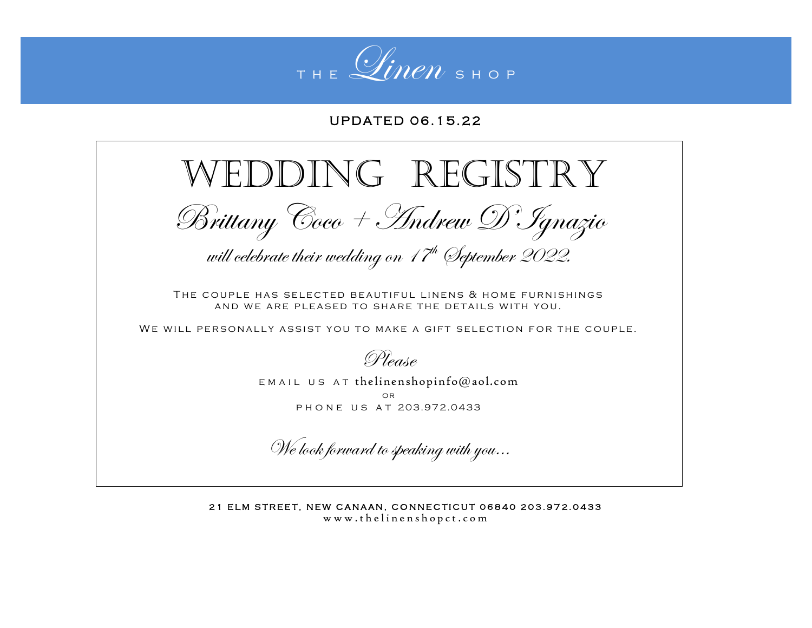

## U P D A T F D 06 15 22

## WEDDING REGISTRY Brittany Coco + Andrew D'Ignazio will celebrate their wedding on 17<sup>th</sup> (September 2022. THE COUPLE HAS SELECTED BEAUTIFUL LINENS & HOME FURNISHINGS AND WE ARE PLEASED TO SHARE THE DETAILS WITH YOU. WE WILL PERSONALLY ASSIST YOU TO MAKE A GIFT SELECTION FOR THE COUPLE. Please  $EMAIL$  US AT [thelinenshopinfo@aol.com](mailto:thelinenshopinfo@aol.com) or PHONE US AT 203.972.0433

We look forward to speaking with you…

21 ELM STREET, NEW CANAAN, CONNECTICUT 06840 203.972.0433 www.thelinenshopct.com

I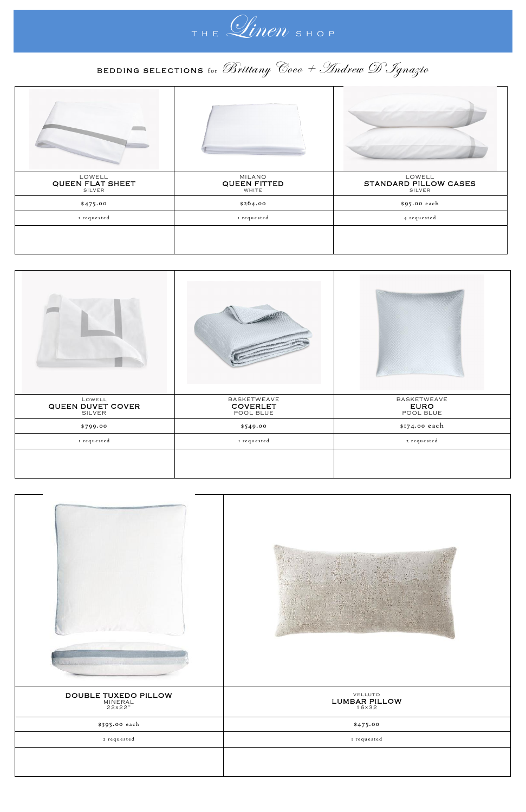

## BEDDING SELECTIONS for Brittany Coco + Andrew D' Sgnazio

| LOWELL<br><b>QUEEN FLAT SHEET</b><br>SILVER | MILANO<br><b>QUEEN FITTED</b><br>WHITE | LOWELL<br>STANDARD PILLOW CASES<br>SILVER |
|---------------------------------------------|----------------------------------------|-------------------------------------------|
| \$475.00                                    | \$264.00                               | \$95.00 each                              |
| I requested                                 | I requested                            | 4 requested                               |
|                                             |                                        |                                           |

| LOWELL<br><b>QUEEN DUVET COVER</b> | BASKETWEAVE<br><b>COVERLET</b><br>POOL BLUE | BASKETWEAVE<br><b>EURO</b><br>POOL BLUE |
|------------------------------------|---------------------------------------------|-----------------------------------------|
| \$799.00                           | \$549.00                                    | \$174.00 each                           |
| I requested                        | I requested                                 | 2 requested                             |
|                                    |                                             |                                         |





| and the state of the local<br><b>NORTH WILLIAM</b> |                                   |
|----------------------------------------------------|-----------------------------------|
| DOUBLE TUXEDO PILLOW<br>MINERAL<br>22x22"          | VELLUTO<br>LUMBAR PILLOW<br>16x32 |
| \$395.00 each                                      | \$475.00                          |
| 2 requested                                        | I requested                       |
|                                                    |                                   |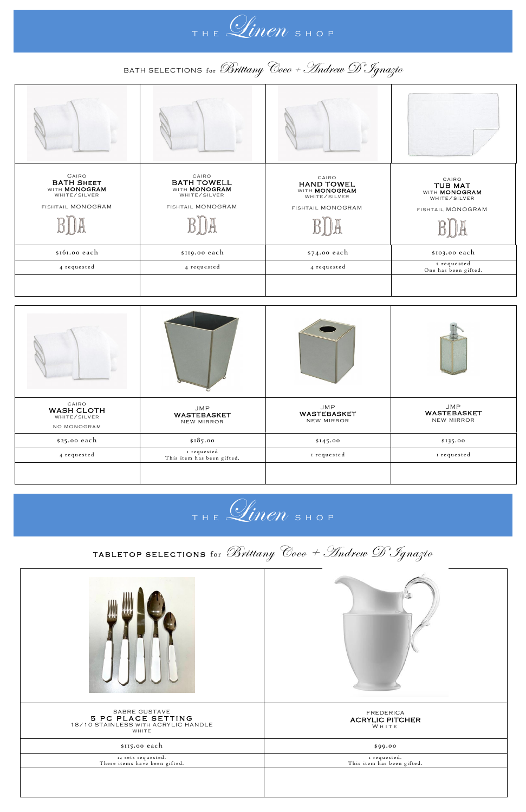THE *Linen* SHOP

BATH SELECTIONS for Brittany Coco + Andrew D' Ignazio

| CAIRO<br><b>BATH SHEET</b><br>WITH <b>MONOGRAM</b><br>WHITE/SILVER<br>FISHTAIL MONOGRAM | CAIRO<br><b>BATH TOWELL</b><br>WITH <b>MONOGRAM</b><br>WHITE/SILVER<br>FISHTAIL MONOGRAM | CAIRO<br><b>HAND TOWEL</b><br>WITH MONOGRAM<br>WHITE/SILVER<br>FISHTAIL MONOGRAM | CAIRO<br><b>TUB MAT</b><br>WITH <b>MONOGRAM</b><br>WHITE/SILVER<br>FISHTAIL MONOGRAM |
|-----------------------------------------------------------------------------------------|------------------------------------------------------------------------------------------|----------------------------------------------------------------------------------|--------------------------------------------------------------------------------------|
| \$161.00 each                                                                           | \$119.00 each                                                                            | \$74.00 each                                                                     | \$103.00 each                                                                        |
| 4 requested                                                                             | 4 requested                                                                              | 4 requested                                                                      | 2 requested<br>One has been gifted.                                                  |
|                                                                                         |                                                                                          |                                                                                  |                                                                                      |
| n ki                                                                                    |                                                                                          |                                                                                  |                                                                                      |

| CAIRO<br><b>WASH CLOTH</b><br>WHITE/SILVER<br>NO MONOGRAM | JMP<br>WASTEBASKET<br>NEW MIRROR          | JMP<br>WASTEBASKET<br>NEW MIRROR | JMP<br>WASTEBASKET<br>NEW MIRROR |
|-----------------------------------------------------------|-------------------------------------------|----------------------------------|----------------------------------|
| \$25.00 each                                              | \$185.00                                  | \$145.00                         | \$135.00                         |
| 4 requested                                               | I requested<br>This item has been gifted. | I requested                      | I requested                      |
|                                                           |                                           |                                  |                                  |



TABLETOP SELECTIONS for Brittany Coco + Andrew D' Ignazio

| SABRE GUSTAVE<br>5 PC PLACE SETTING<br>18/10 STAINLESS WITH ACRYLIC HANDLE<br>WHITE | FREDERICA<br><b>ACRYLIC PITCHER</b><br>WHITE |
|-------------------------------------------------------------------------------------|----------------------------------------------|
| \$115.00 each                                                                       | \$99.00                                      |
| 12 sets requested.<br>These items have been gifted.                                 | 1 requested.<br>This item has been gifted.   |
|                                                                                     |                                              |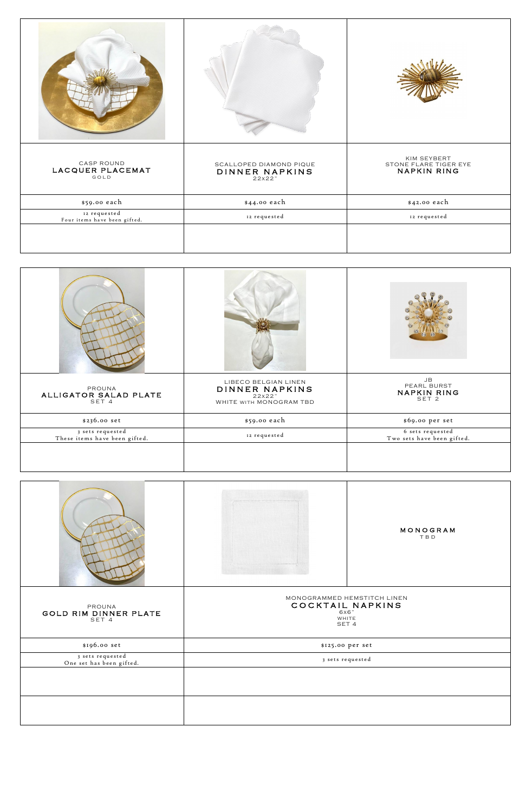| <b>CASP ROUND</b><br>LACQUER PLACEMAT<br>GOLD | SCALLOPED DIAMOND PIQUE<br>DINNER NAPKINS<br>22x22" | KIM SEYBERT<br>STONE FLARE TIGER EYE<br><b>NAPKIN RING</b> |
|-----------------------------------------------|-----------------------------------------------------|------------------------------------------------------------|
| \$59.00 each                                  | \$44.00 each                                        | \$42.00 each                                               |
| 12 requested<br>Four items have been gifted.  | 12 requested                                        | 12 requested                                               |
|                                               |                                                     |                                                            |

| PROUNA<br>ALLIGATOR SALAD PLATE<br>SET 4          | LIBECO BELGIAN LINEN<br>DINNER NAPKINS<br>22x22"<br>WHITE WITH MONOGRAM TBD | JB<br>PEARL BURST<br><b>NAPKIN RING</b><br>SET 2 |
|---------------------------------------------------|-----------------------------------------------------------------------------|--------------------------------------------------|
| \$236.00 set                                      | \$59.00 each                                                                | \$69.00 per set                                  |
| 3 sets requested<br>These items have been gifted. | 12 requested                                                                | 6 sets requested<br>Two sets have been gifted.   |
|                                                   |                                                                             |                                                  |



| PROUNA<br>GOLD RIM DINNER PLATE<br>SET 4     | MONOGRAMMED HEMSTITCH LINEN<br>COCKTAIL NAPKINS<br>6x6"<br>WHITE<br>SET 4 |
|----------------------------------------------|---------------------------------------------------------------------------|
| \$196.00 set                                 | \$125.00 per set                                                          |
| 3 sets requested<br>One set has been gifted. | 3 sets requested                                                          |
|                                              |                                                                           |
|                                              |                                                                           |
|                                              |                                                                           |
|                                              |                                                                           |